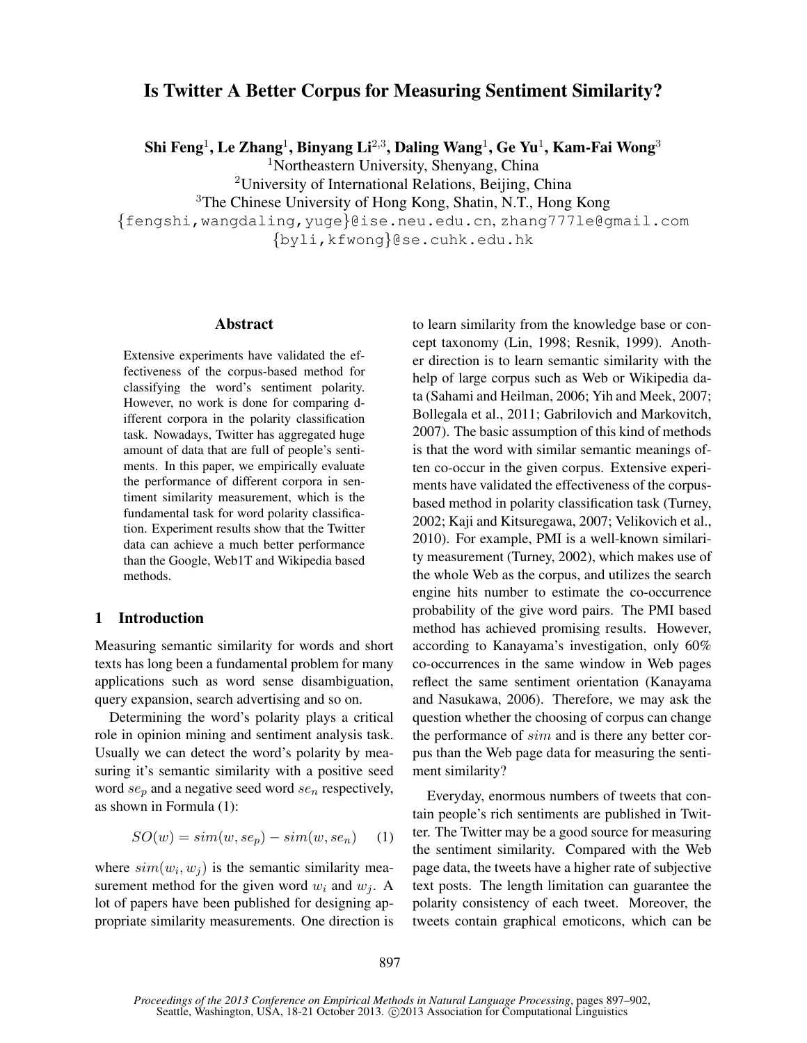# Is Twitter A Better Corpus for Measuring Sentiment Similarity?

Shi Feng $^1$ , Le Zhang $^1$ , Binyang Li $^{2,3}$ , Daling Wang $^1$ , Ge Yu $^1$ , Kam-Fai Wong $^3$ 

<sup>1</sup>Northeastern University, Shenyang, China

<sup>2</sup>University of International Relations, Beijing, China

<sup>3</sup>The Chinese University of Hong Kong, Shatin, N.T., Hong Kong

{fengshi,wangdaling,yuge}@ise.neu.edu.cn, zhang777le@gmail.com {byli,kfwong}@se.cuhk.edu.hk

## Abstract

Extensive experiments have validated the effectiveness of the corpus-based method for classifying the word's sentiment polarity. However, no work is done for comparing different corpora in the polarity classification task. Nowadays, Twitter has aggregated huge amount of data that are full of people's sentiments. In this paper, we empirically evaluate the performance of different corpora in sentiment similarity measurement, which is the fundamental task for word polarity classification. Experiment results show that the Twitter data can achieve a much better performance than the Google, Web1T and Wikipedia based methods.

# 1 Introduction

Measuring semantic similarity for words and short texts has long been a fundamental problem for many applications such as word sense disambiguation, query expansion, search advertising and so on.

Determining the word's polarity plays a critical role in opinion mining and sentiment analysis task. Usually we can detect the word's polarity by measuring it's semantic similarity with a positive seed word  $se_p$  and a negative seed word  $se_n$  respectively, as shown in Formula (1):

$$
SO(w) = sim(w, se_p) - sim(w, se_n) \tag{1}
$$

where  $sim(w_i, w_j)$  is the semantic similarity measurement method for the given word  $w_i$  and  $w_j$ . A lot of papers have been published for designing appropriate similarity measurements. One direction is to learn similarity from the knowledge base or concept taxonomy (Lin, 1998; Resnik, 1999). Another direction is to learn semantic similarity with the help of large corpus such as Web or Wikipedia data (Sahami and Heilman, 2006; Yih and Meek, 2007; Bollegala et al., 2011; Gabrilovich and Markovitch, 2007). The basic assumption of this kind of methods is that the word with similar semantic meanings often co-occur in the given corpus. Extensive experiments have validated the effectiveness of the corpusbased method in polarity classification task (Turney, 2002; Kaji and Kitsuregawa, 2007; Velikovich et al., 2010). For example, PMI is a well-known similarity measurement (Turney, 2002), which makes use of the whole Web as the corpus, and utilizes the search engine hits number to estimate the co-occurrence probability of the give word pairs. The PMI based method has achieved promising results. However, according to Kanayama's investigation, only 60% co-occurrences in the same window in Web pages reflect the same sentiment orientation (Kanayama and Nasukawa, 2006). Therefore, we may ask the question whether the choosing of corpus can change the performance of sim and is there any better corpus than the Web page data for measuring the sentiment similarity?

Everyday, enormous numbers of tweets that contain people's rich sentiments are published in Twitter. The Twitter may be a good source for measuring the sentiment similarity. Compared with the Web page data, the tweets have a higher rate of subjective text posts. The length limitation can guarantee the polarity consistency of each tweet. Moreover, the tweets contain graphical emoticons, which can be

*Proceedings of the 2013 Conference on Empirical Methods in Natural Language Processing*, pages 897–902, Seattle, Washington, USA, 18-21 October 2013. ©2013 Association for Computational Linguistics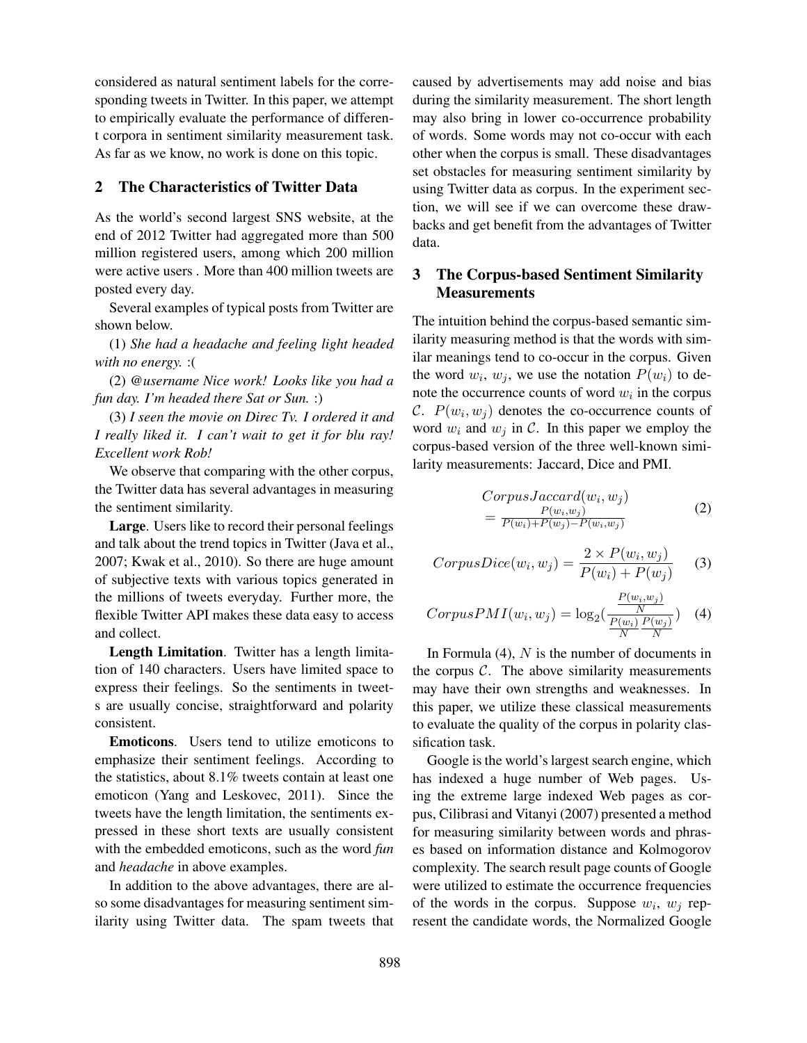considered as natural sentiment labels for the corresponding tweets in Twitter. In this paper, we attempt to empirically evaluate the performance of different corpora in sentiment similarity measurement task. As far as we know, no work is done on this topic.

# 2 The Characteristics of Twitter Data

As the world's second largest SNS website, at the end of 2012 Twitter had aggregated more than 500 million registered users, among which 200 million were active users . More than 400 million tweets are posted every day.

Several examples of typical posts from Twitter are shown below.

(1) *She had a headache and feeling light headed with no energy.* :(

(2) *@username Nice work! Looks like you had a fun day. I'm headed there Sat or Sun.* :)

(3) *I seen the movie on Direc Tv. I ordered it and I really liked it. I can't wait to get it for blu ray! Excellent work Rob!*

We observe that comparing with the other corpus, the Twitter data has several advantages in measuring the sentiment similarity.

Large. Users like to record their personal feelings and talk about the trend topics in Twitter (Java et al., 2007; Kwak et al., 2010). So there are huge amount of subjective texts with various topics generated in the millions of tweets everyday. Further more, the flexible Twitter API makes these data easy to access and collect.

Length Limitation. Twitter has a length limitation of 140 characters. Users have limited space to express their feelings. So the sentiments in tweets are usually concise, straightforward and polarity consistent.

Emoticons. Users tend to utilize emoticons to emphasize their sentiment feelings. According to the statistics, about 8.1% tweets contain at least one emoticon (Yang and Leskovec, 2011). Since the tweets have the length limitation, the sentiments expressed in these short texts are usually consistent with the embedded emoticons, such as the word *fun* and *headache* in above examples.

In addition to the above advantages, there are also some disadvantages for measuring sentiment similarity using Twitter data. The spam tweets that caused by advertisements may add noise and bias during the similarity measurement. The short length may also bring in lower co-occurrence probability of words. Some words may not co-occur with each other when the corpus is small. These disadvantages set obstacles for measuring sentiment similarity by using Twitter data as corpus. In the experiment section, we will see if we can overcome these drawbacks and get benefit from the advantages of Twitter data.

# 3 The Corpus-based Sentiment Similarity **Measurements**

The intuition behind the corpus-based semantic similarity measuring method is that the words with similar meanings tend to co-occur in the corpus. Given the word  $w_i$ ,  $w_j$ , we use the notation  $P(w_i)$  to denote the occurrence counts of word  $w_i$  in the corpus C.  $P(w_i, w_j)$  denotes the co-occurrence counts of word  $w_i$  and  $w_j$  in C. In this paper we employ the corpus-based version of the three well-known similarity measurements: Jaccard, Dice and PMI.

$$
CorpusJaccard(w_i, w_j)
$$
  
= 
$$
\frac{P(w_i, w_j)}{P(w_i) + P(w_j) - P(w_i, w_j)}
$$
 (2)

$$
CorpusDice(w_i, w_j) = \frac{2 \times P(w_i, w_j)}{P(w_i) + P(w_j)} \tag{3}
$$

$$
CorpusPMI(w_i, w_j) = \log_2(\frac{\frac{P(w_i, w_j)}{N}}{\frac{P(w_i)}{N} \frac{P(w_j)}{N}})
$$
 (4)

In Formula  $(4)$ , N is the number of documents in the corpus  $C$ . The above similarity measurements may have their own strengths and weaknesses. In this paper, we utilize these classical measurements to evaluate the quality of the corpus in polarity classification task.

Google is the world's largest search engine, which has indexed a huge number of Web pages. Using the extreme large indexed Web pages as corpus, Cilibrasi and Vitanyi (2007) presented a method for measuring similarity between words and phrases based on information distance and Kolmogorov complexity. The search result page counts of Google were utilized to estimate the occurrence frequencies of the words in the corpus. Suppose  $w_i$ ,  $w_j$  represent the candidate words, the Normalized Google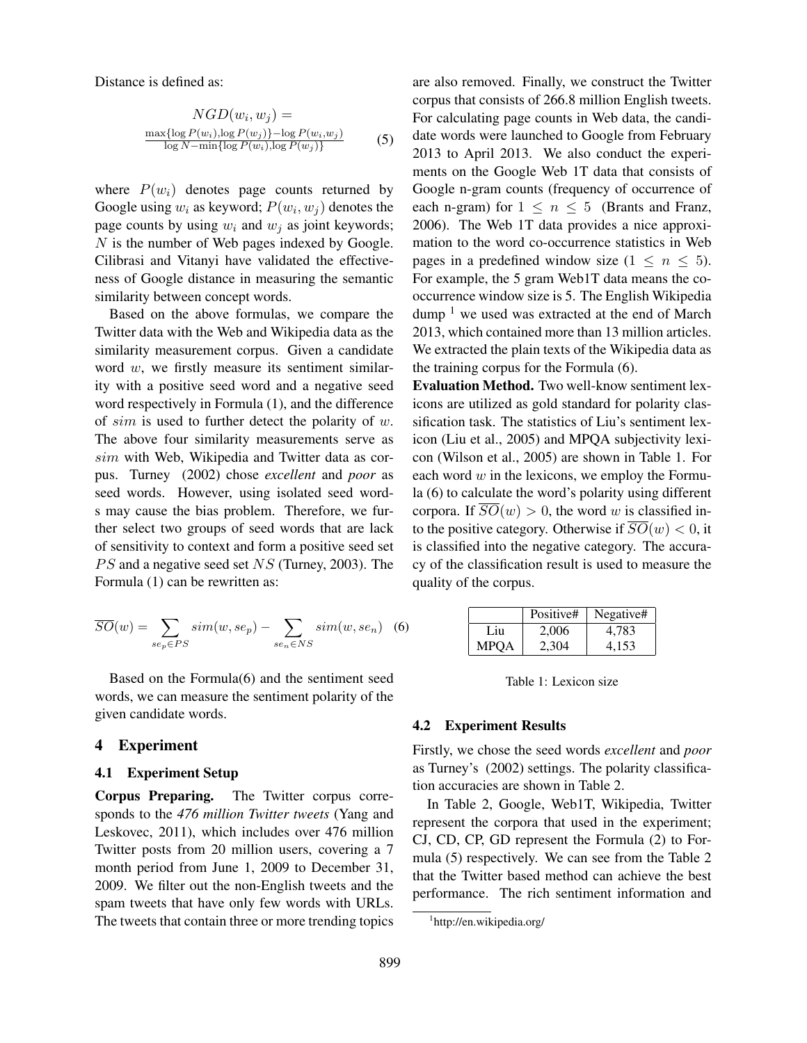Distance is defined as:

$$
NGD(w_i, w_j) =
$$
  
\n
$$
\frac{\max\{\log P(w_i), \log P(w_j)\} - \log P(w_i, w_j)}{\log N - \min\{\log P(w_i), \log P(w_j)\}}
$$
 (5)

where  $P(w_i)$  denotes page counts returned by Google using  $w_i$  as keyword;  $P(w_i, w_j)$  denotes the page counts by using  $w_i$  and  $w_j$  as joint keywords; N is the number of Web pages indexed by Google. Cilibrasi and Vitanyi have validated the effectiveness of Google distance in measuring the semantic similarity between concept words.

Based on the above formulas, we compare the Twitter data with the Web and Wikipedia data as the similarity measurement corpus. Given a candidate word  $w$ , we firstly measure its sentiment similarity with a positive seed word and a negative seed word respectively in Formula (1), and the difference of  $sim$  is used to further detect the polarity of  $w$ . The above four similarity measurements serve as sim with Web, Wikipedia and Twitter data as corpus. Turney (2002) chose *excellent* and *poor* as seed words. However, using isolated seed words may cause the bias problem. Therefore, we further select two groups of seed words that are lack of sensitivity to context and form a positive seed set  $PS$  and a negative seed set  $NS$  (Turney, 2003). The Formula (1) can be rewritten as:

$$
\overline{SO}(w) = \sum_{se_p \in PS} sim(w, se_p) - \sum_{se_n \in NS} sim(w, se_n) \quad (6)
$$

Based on the Formula(6) and the sentiment seed words, we can measure the sentiment polarity of the given candidate words.

# 4 Experiment

#### 4.1 Experiment Setup

Corpus Preparing. The Twitter corpus corresponds to the *476 million Twitter tweets* (Yang and Leskovec, 2011), which includes over 476 million Twitter posts from 20 million users, covering a 7 month period from June 1, 2009 to December 31, 2009. We filter out the non-English tweets and the spam tweets that have only few words with URLs. The tweets that contain three or more trending topics are also removed. Finally, we construct the Twitter corpus that consists of 266.8 million English tweets. For calculating page counts in Web data, the candidate words were launched to Google from February 2013 to April 2013. We also conduct the experiments on the Google Web 1T data that consists of Google n-gram counts (frequency of occurrence of each n-gram) for  $1 \leq n \leq 5$  (Brants and Franz, 2006). The Web 1T data provides a nice approximation to the word co-occurrence statistics in Web pages in a predefined window size  $(1 \le n \le 5)$ . For example, the 5 gram Web1T data means the cooccurrence window size is 5. The English Wikipedia dump  $<sup>1</sup>$  we used was extracted at the end of March</sup> 2013, which contained more than 13 million articles. We extracted the plain texts of the Wikipedia data as the training corpus for the Formula (6).

Evaluation Method. Two well-know sentiment lexicons are utilized as gold standard for polarity classification task. The statistics of Liu's sentiment lexicon (Liu et al., 2005) and MPQA subjectivity lexicon (Wilson et al., 2005) are shown in Table 1. For each word  $w$  in the lexicons, we employ the Formula (6) to calculate the word's polarity using different corpora. If  $\overline{SO}(w) > 0$ , the word w is classified into the positive category. Otherwise if  $\overline{SO}(w) < 0$ , it is classified into the negative category. The accuracy of the classification result is used to measure the quality of the corpus.

|      | Positive# | Negative# |
|------|-----------|-----------|
| Liu  | 2,006     | 4,783     |
| MPOA | 2,304     | 4.153     |

Table 1: Lexicon size

#### 4.2 Experiment Results

Firstly, we chose the seed words *excellent* and *poor* as Turney's (2002) settings. The polarity classification accuracies are shown in Table 2.

In Table 2, Google, Web1T, Wikipedia, Twitter represent the corpora that used in the experiment; CJ, CD, CP, GD represent the Formula (2) to Formula (5) respectively. We can see from the Table 2 that the Twitter based method can achieve the best performance. The rich sentiment information and

<sup>1</sup> http://en.wikipedia.org/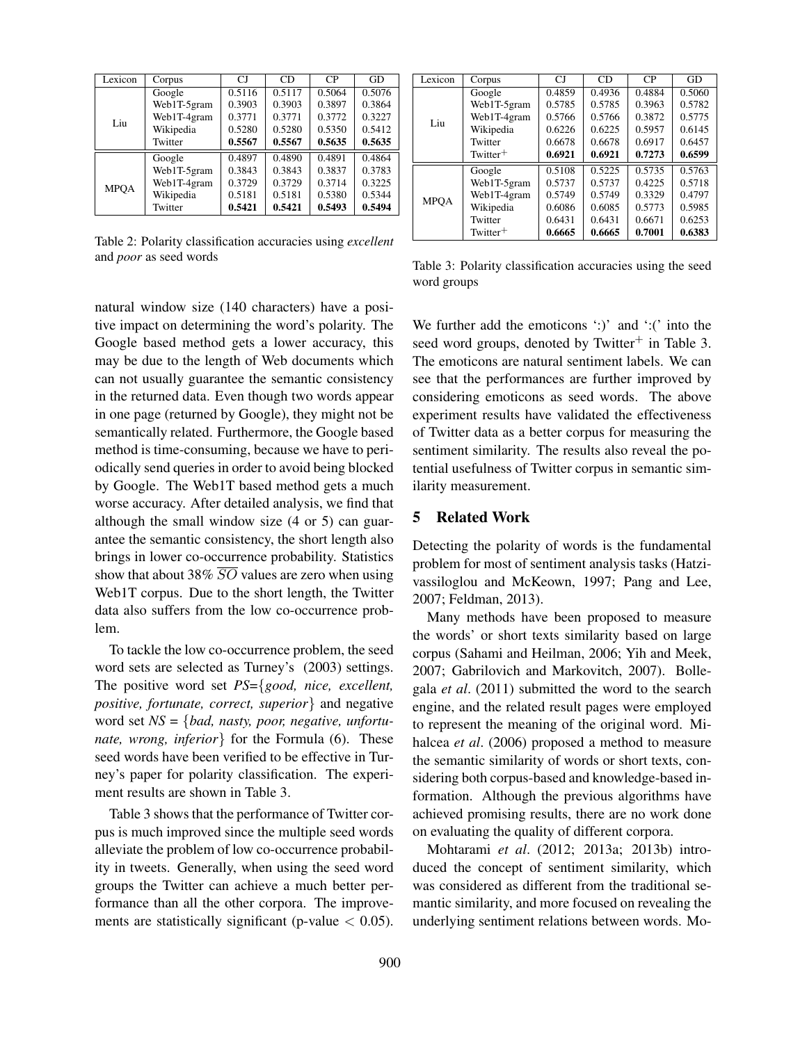| Lexicon     | Corpus      | CJ     | CD     | CP     | GD     |
|-------------|-------------|--------|--------|--------|--------|
|             | Google      | 0.5116 | 0.5117 | 0.5064 | 0.5076 |
|             | Web1T-5gram | 0.3903 | 0.3903 | 0.3897 | 0.3864 |
| Liu         | Web1T-4gram | 0.3771 | 0.3771 | 0.3772 | 0.3227 |
|             | Wikipedia   | 0.5280 | 0.5280 | 0.5350 | 0.5412 |
|             | Twitter     | 0.5567 | 0.5567 | 0.5635 | 0.5635 |
|             | Google      | 0.4897 | 0.4890 | 0.4891 | 0.4864 |
|             | Web1T-5gram | 0.3843 | 0.3843 | 0.3837 | 0.3783 |
| <b>MPOA</b> | Web1T-4gram | 0.3729 | 0.3729 | 0.3714 | 0.3225 |
|             | Wikipedia   | 0.5181 | 0.5181 | 0.5380 | 0.5344 |
|             | Twitter     | 0.5421 | 0.5421 | 0.5493 | 0.5494 |

Table 2: Polarity classification accuracies using *excellent* and *poor* as seed words

| Lexicon     | Corpus      | CI     | CD     | CP                  | GD     |
|-------------|-------------|--------|--------|---------------------|--------|
|             | Google      | 0.4859 | 0.4936 | 0.4884              | 0.5060 |
|             | Web1T-5gram | 0.5785 | 0.5785 | 0.3963              | 0.5782 |
| Liu         | Web1T-4gram | 0.5766 | 0.5766 | 0.3872              | 0.5775 |
|             | Wikipedia   | 0.6226 | 0.6225 | 0.5957              | 0.6145 |
|             | Twitter     | 0.6678 | 0.6678 | 0.6917              | 0.6457 |
|             | $Twitter^+$ | 0.6921 | 0.6921 | 0.7273              | 0.6599 |
|             | Google      | 0.5108 | 0.5225 | $0.5\overline{735}$ | 0.5763 |
|             | Web1T-5gram | 0.5737 | 0.5737 | 0.4225              | 0.5718 |
| <b>MPOA</b> | Web1T-4gram | 0.5749 | 0.5749 | 0.3329              | 0.4797 |
|             | Wikipedia   | 0.6086 | 0.6085 | 0.5773              | 0.5985 |
|             | Twitter     | 0.6431 | 0.6431 | 0.6671              | 0.6253 |
|             | $Twitter^+$ | 0.6665 | 0.6665 | 0.7001              | 0.6383 |

Table 3: Polarity classification accuracies using the seed word groups

natural window size (140 characters) have a positive impact on determining the word's polarity. The Google based method gets a lower accuracy, this may be due to the length of Web documents which can not usually guarantee the semantic consistency in the returned data. Even though two words appear in one page (returned by Google), they might not be semantically related. Furthermore, the Google based method is time-consuming, because we have to periodically send queries in order to avoid being blocked by Google. The Web1T based method gets a much worse accuracy. After detailed analysis, we find that although the small window size (4 or 5) can guarantee the semantic consistency, the short length also brings in lower co-occurrence probability. Statistics show that about 38%  $\overline{SO}$  values are zero when using Web1T corpus. Due to the short length, the Twitter data also suffers from the low co-occurrence problem.

To tackle the low co-occurrence problem, the seed word sets are selected as Turney's (2003) settings. The positive word set *PS*={*good, nice, excellent, positive, fortunate, correct, superior*} and negative word set *NS* = {*bad, nasty, poor, negative, unfortunate, wrong, inferior*} for the Formula (6). These seed words have been verified to be effective in Turney's paper for polarity classification. The experiment results are shown in Table 3.

Table 3 shows that the performance of Twitter corpus is much improved since the multiple seed words alleviate the problem of low co-occurrence probability in tweets. Generally, when using the seed word groups the Twitter can achieve a much better performance than all the other corpora. The improvements are statistically significant (p-value  $< 0.05$ ).

We further add the emoticons  $\cdot$ :)' and  $\cdot$ :(' into the seed word groups, denoted by Twitter $^+$  in Table 3. The emoticons are natural sentiment labels. We can see that the performances are further improved by considering emoticons as seed words. The above experiment results have validated the effectiveness of Twitter data as a better corpus for measuring the sentiment similarity. The results also reveal the potential usefulness of Twitter corpus in semantic similarity measurement.

# 5 Related Work

Detecting the polarity of words is the fundamental problem for most of sentiment analysis tasks (Hatzivassiloglou and McKeown, 1997; Pang and Lee, 2007; Feldman, 2013).

Many methods have been proposed to measure the words' or short texts similarity based on large corpus (Sahami and Heilman, 2006; Yih and Meek, 2007; Gabrilovich and Markovitch, 2007). Bollegala *et al*. (2011) submitted the word to the search engine, and the related result pages were employed to represent the meaning of the original word. Mihalcea *et al*. (2006) proposed a method to measure the semantic similarity of words or short texts, considering both corpus-based and knowledge-based information. Although the previous algorithms have achieved promising results, there are no work done on evaluating the quality of different corpora.

Mohtarami *et al*. (2012; 2013a; 2013b) introduced the concept of sentiment similarity, which was considered as different from the traditional semantic similarity, and more focused on revealing the underlying sentiment relations between words. Mo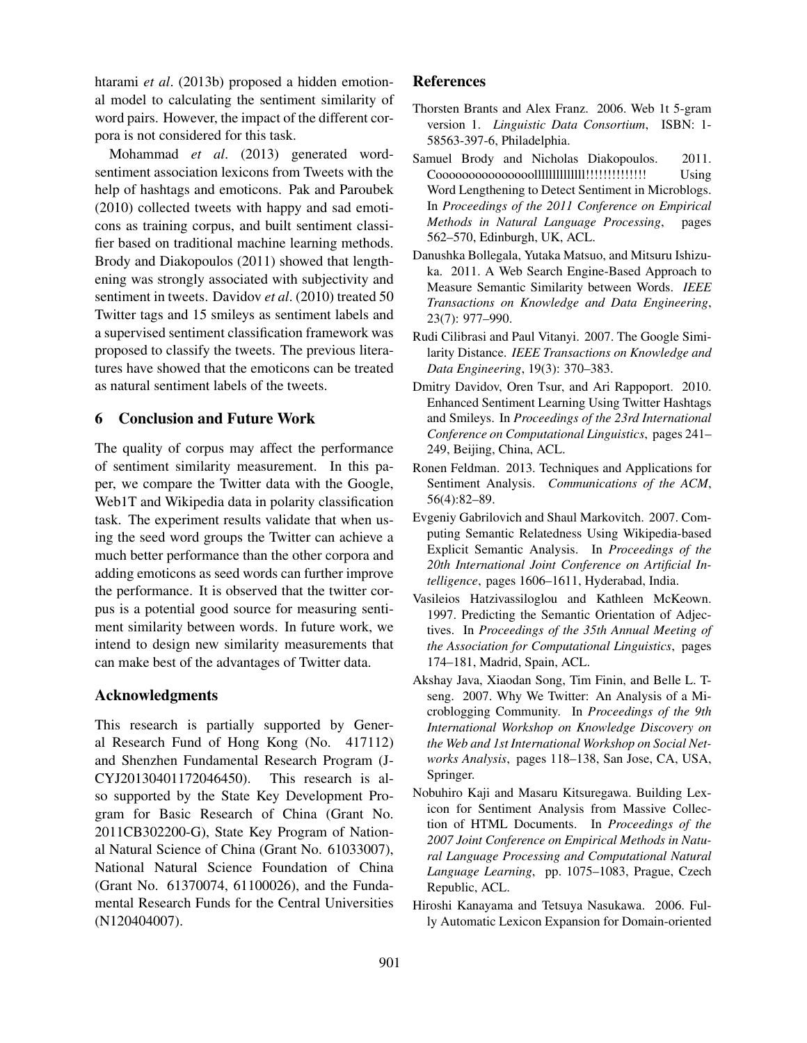htarami *et al*. (2013b) proposed a hidden emotional model to calculating the sentiment similarity of word pairs. However, the impact of the different corpora is not considered for this task.

Mohammad *et al*. (2013) generated wordsentiment association lexicons from Tweets with the help of hashtags and emoticons. Pak and Paroubek (2010) collected tweets with happy and sad emoticons as training corpus, and built sentiment classifier based on traditional machine learning methods. Brody and Diakopoulos (2011) showed that lengthening was strongly associated with subjectivity and sentiment in tweets. Davidov *et al*. (2010) treated 50 Twitter tags and 15 smileys as sentiment labels and a supervised sentiment classification framework was proposed to classify the tweets. The previous literatures have showed that the emoticons can be treated as natural sentiment labels of the tweets.

# 6 Conclusion and Future Work

The quality of corpus may affect the performance of sentiment similarity measurement. In this paper, we compare the Twitter data with the Google, Web1T and Wikipedia data in polarity classification task. The experiment results validate that when using the seed word groups the Twitter can achieve a much better performance than the other corpora and adding emoticons as seed words can further improve the performance. It is observed that the twitter corpus is a potential good source for measuring sentiment similarity between words. In future work, we intend to design new similarity measurements that can make best of the advantages of Twitter data.

# Acknowledgments

This research is partially supported by General Research Fund of Hong Kong (No. 417112) and Shenzhen Fundamental Research Program (J-CYJ20130401172046450). This research is also supported by the State Key Development Program for Basic Research of China (Grant No. 2011CB302200-G), State Key Program of National Natural Science of China (Grant No. 61033007), National Natural Science Foundation of China (Grant No. 61370074, 61100026), and the Fundamental Research Funds for the Central Universities (N120404007).

# References

- Thorsten Brants and Alex Franz. 2006. Web 1t 5-gram version 1. *Linguistic Data Consortium*, ISBN: 1- 58563-397-6, Philadelphia.
- Samuel Brody and Nicholas Diakopoulos. 2011. Cooooooooooooooollllllllllllll!!!!!!!!!!!!!! Using Word Lengthening to Detect Sentiment in Microblogs. In *Proceedings of the 2011 Conference on Empirical Methods in Natural Language Processing*, pages 562–570, Edinburgh, UK, ACL.
- Danushka Bollegala, Yutaka Matsuo, and Mitsuru Ishizuka. 2011. A Web Search Engine-Based Approach to Measure Semantic Similarity between Words. *IEEE Transactions on Knowledge and Data Engineering*, 23(7): 977–990.
- Rudi Cilibrasi and Paul Vitanyi. 2007. The Google Similarity Distance. *IEEE Transactions on Knowledge and Data Engineering*, 19(3): 370–383.
- Dmitry Davidov, Oren Tsur, and Ari Rappoport. 2010. Enhanced Sentiment Learning Using Twitter Hashtags and Smileys. In *Proceedings of the 23rd International Conference on Computational Linguistics*, pages 241– 249, Beijing, China, ACL.
- Ronen Feldman. 2013. Techniques and Applications for Sentiment Analysis. *Communications of the ACM*, 56(4):82–89.
- Evgeniy Gabrilovich and Shaul Markovitch. 2007. Computing Semantic Relatedness Using Wikipedia-based Explicit Semantic Analysis. In *Proceedings of the 20th International Joint Conference on Artificial Intelligence*, pages 1606–1611, Hyderabad, India.
- Vasileios Hatzivassiloglou and Kathleen McKeown. 1997. Predicting the Semantic Orientation of Adjectives. In *Proceedings of the 35th Annual Meeting of the Association for Computational Linguistics*, pages 174–181, Madrid, Spain, ACL.
- Akshay Java, Xiaodan Song, Tim Finin, and Belle L. Tseng. 2007. Why We Twitter: An Analysis of a Microblogging Community. In *Proceedings of the 9th International Workshop on Knowledge Discovery on the Web and 1st International Workshop on Social Networks Analysis*, pages 118–138, San Jose, CA, USA, Springer.
- Nobuhiro Kaji and Masaru Kitsuregawa. Building Lexicon for Sentiment Analysis from Massive Collection of HTML Documents. In *Proceedings of the 2007 Joint Conference on Empirical Methods in Natural Language Processing and Computational Natural Language Learning*, pp. 1075–1083, Prague, Czech Republic, ACL.
- Hiroshi Kanayama and Tetsuya Nasukawa. 2006. Fully Automatic Lexicon Expansion for Domain-oriented